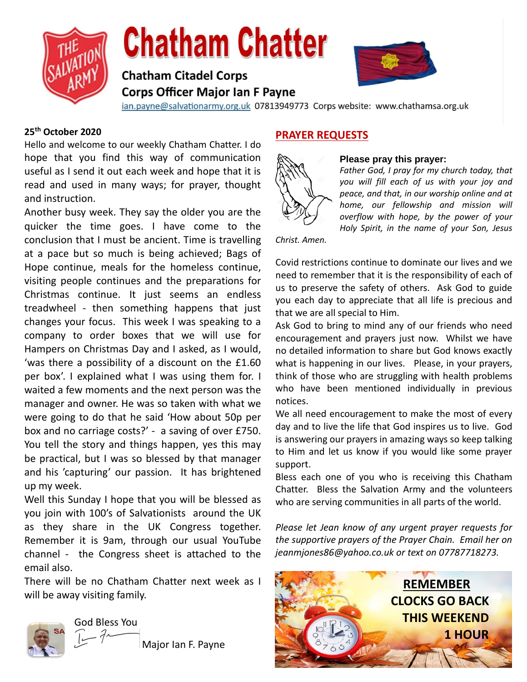

# **Chatham Chatter**

# **Chatham Citadel Corps Corps Officer Major Ian F Payne**



ian.payne@salvationarmy.org.uk 07813949773 Corps website: www.chathamsa.org.uk

## **25th October 2020**

Hello and welcome to our weekly Chatham Chatter. I do hope that you find this way of communication useful as I send it out each week and hope that it is read and used in many ways; for prayer, thought and instruction.

Another busy week. They say the older you are the quicker the time goes. I have come to the conclusion that I must be ancient. Time is travelling at a pace but so much is being achieved; Bags of Hope continue, meals for the homeless continue, visiting people continues and the preparations for Christmas continue. It just seems an endless treadwheel - then something happens that just changes your focus. This week I was speaking to a company to order boxes that we will use for Hampers on Christmas Day and I asked, as I would, 'was there a possibility of a discount on the £1.60 per box'. I explained what I was using them for. I waited a few moments and the next person was the manager and owner. He was so taken with what we were going to do that he said 'How about 50p per box and no carriage costs?' - a saving of over £750. You tell the story and things happen, yes this may be practical, but I was so blessed by that manager and his 'capturing' our passion. It has brightened up my week.

Well this Sunday I hope that you will be blessed as you join with 100's of Salvationists around the UK as they share in the UK Congress together. Remember it is 9am, through our usual YouTube channel - the Congress sheet is attached to the email also.

There will be no Chatham Chatter next week as I will be away visiting family.



God Bless You

Major Ian F. Payne

## **PRAYER REQUESTS**



## **Please pray this prayer:**

*Father God, I pray for my church today, that you will fill each of us with your joy and peace, and that, in our worship online and at home, our fellowship and mission will overflow with hope, by the power of your Holy Spirit, in the name of your Son, Jesus* 

*Christ. Amen.*

Covid restrictions continue to dominate our lives and we need to remember that it is the responsibility of each of us to preserve the safety of others. Ask God to guide you each day to appreciate that all life is precious and that we are all special to Him.

Ask God to bring to mind any of our friends who need encouragement and prayers just now. Whilst we have no detailed information to share but God knows exactly what is happening in our lives. Please, in your prayers, think of those who are struggling with health problems who have been mentioned individually in previous notices.

We all need encouragement to make the most of every day and to live the life that God inspires us to live. God is answering our prayers in amazing ways so keep talking to Him and let us know if you would like some prayer support.

Bless each one of you who is receiving this Chatham Chatter. Bless the Salvation Army and the volunteers who are serving communities in all parts of the world.

*Please let Jean know of any urgent prayer requests for the supportive prayers of the Prayer Chain. Email her on jeanmjones86@yahoo.co.uk or text on 07787718273.* 

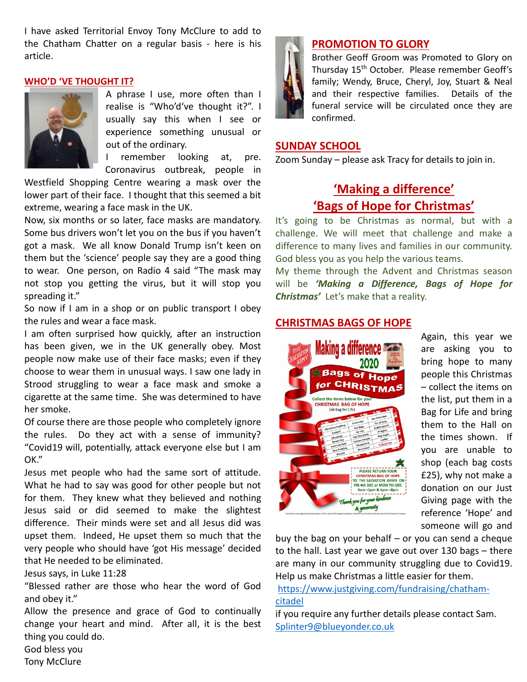I have asked Territorial Envoy Tony McClure to add to the Chatham Chatter on a regular basis - here is his article.

#### **WHO'D 'VE THOUGHT IT?**



A phrase I use, more often than I realise is "Who'd've thought it?". I usually say this when I see or experience something unusual or out of the ordinary.

I remember looking at, pre. Coronavirus outbreak, people in

Westfield Shopping Centre wearing a mask over the lower part of their face. I thought that this seemed a bit extreme, wearing a face mask in the UK.

Now, six months or so later, face masks are mandatory. Some bus drivers won't let you on the bus if you haven't got a mask. We all know Donald Trump isn't keen on them but the 'science' people say they are a good thing to wear. One person, on Radio 4 said "The mask may not stop you getting the virus, but it will stop you spreading it."

So now if I am in a shop or on public transport I obey the rules and wear a face mask.

I am often surprised how quickly, after an instruction has been given, we in the UK generally obey. Most people now make use of their face masks; even if they choose to wear them in unusual ways. I saw one lady in Strood struggling to wear a face mask and smoke a cigarette at the same time. She was determined to have her smoke.

Of course there are those people who completely ignore the rules. Do they act with a sense of immunity? "Covid19 will, potentially, attack everyone else but I am OK."

Jesus met people who had the same sort of attitude. What he had to say was good for other people but not for them. They knew what they believed and nothing Jesus said or did seemed to make the slightest difference. Their minds were set and all Jesus did was upset them. Indeed, He upset them so much that the very people who should have 'got His message' decided that He needed to be eliminated.

Jesus says, in Luke 11:28

"Blessed rather are those who hear the word of God and obey it."

Allow the presence and grace of God to continually change your heart and mind. After all, it is the best thing you could do.



## **PROMOTION TO GLORY**

Brother Geoff Groom was Promoted to Glory on Thursday 15<sup>th</sup> October. Please remember Geoff's family; Wendy, Bruce, Cheryl, Joy, Stuart & Neal and their respective families. Details of the funeral service will be circulated once they are confirmed.

## **SUNDAY SCHOOL**

Zoom Sunday – please ask Tracy for details to join in.

# **'Making a difference' 'Bags of Hope for Christmas'**

It's going to be Christmas as normal, but with a challenge. We will meet that challenge and make a difference to many lives and families in our community. God bless you as you help the various teams.

My theme through the Advent and Christmas season will be *'Making a Difference, Bags of Hope for Christmas'* Let's make that a reality.

## **CHRISTMAS BAGS OF HOPE**



Again, this year we are asking you to bring hope to many people this Christmas – collect the items on the list, put them in a Bag for Life and bring them to the Hall on the times shown. If you are unable to shop (each bag costs £25), why not make a donation on our Just Giving page with the reference 'Hope' and someone will go and

buy the bag on your behalf – or you can send a cheque to the hall. Last year we gave out over 130 bags – there are many in our community struggling due to Covid19. Help us make Christmas a little easier for them.

## [https://www.justgiving.com/fundraising/chatham](https://www.justgiving.com/fundraising/chatham-citadel)[citadel](https://www.justgiving.com/fundraising/chatham-citadel)

if you require any further details please contact Sam. [Splinter9@blueyonder.co.uk](mailto:Splinter9@blueyonder.co.uk)

God bless you Tony McClure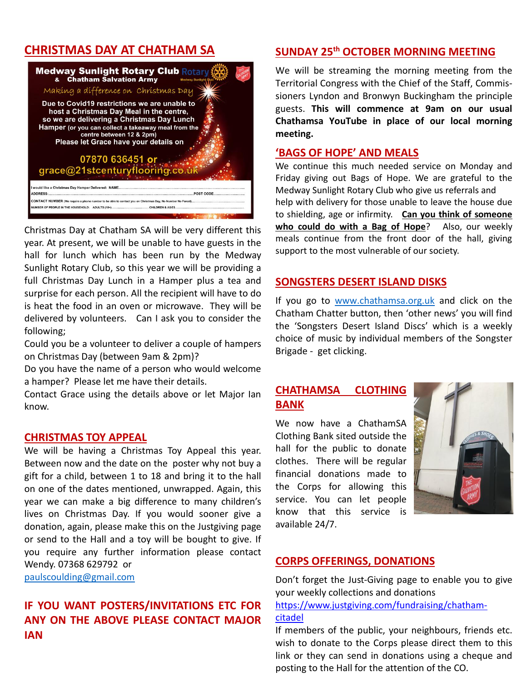## **CHRISTMAS DAY AT CHATHAM SA**



Christmas Day at Chatham SA will be very different this year. At present, we will be unable to have guests in the hall for lunch which has been run by the Medway Sunlight Rotary Club, so this year we will be providing a full Christmas Day Lunch in a Hamper plus a tea and surprise for each person. All the recipient will have to do is heat the food in an oven or microwave. They will be delivered by volunteers. Can I ask you to consider the following;

Could you be a volunteer to deliver a couple of hampers on Christmas Day (between 9am & 2pm)?

Do you have the name of a person who would welcome a hamper? Please let me have their details.

Contact Grace using the details above or let Major Ian know.

## **CHRISTMAS TOY APPEAL**

We will be having a Christmas Toy Appeal this year. Between now and the date on the poster why not buy a gift for a child, between 1 to 18 and bring it to the hall on one of the dates mentioned, unwrapped. Again, this year we can make a big difference to many children's lives on Christmas Day. If you would sooner give a donation, again, please make this on the Justgiving page or send to the Hall and a toy will be bought to give. If you require any further information please contact Wendy. 07368 629792 or

[paulscoulding@gmail.com](mailto:paulscoulding@gmail.com)

## **IF YOU WANT POSTERS/INVITATIONS ETC FOR ANY ON THE ABOVE PLEASE CONTACT MAJOR IAN**

## **SUNDAY 25th OCTOBER MORNING MEETING**

We will be streaming the morning meeting from the Territorial Congress with the Chief of the Staff, Commissioners Lyndon and Bronwyn Buckingham the principle guests. **This will commence at 9am on our usual Chathamsa YouTube in place of our local morning meeting.**

### **'BAGS OF HOPE' AND MEALS**

We continue this much needed service on Monday and Friday giving out Bags of Hope. We are grateful to the Medway Sunlight Rotary Club who give us referrals and help with delivery for those unable to leave the house due to shielding, age or infirmity. **Can you think of someone who could do with a Bag of Hope**? Also, our weekly meals continue from the front door of the hall, giving support to the most vulnerable of our society.

## **SONGSTERS DESERT ISLAND DISKS**

If you go to [www.chathamsa.org.uk](http://www.chathamsa.org.uk/) and click on the Chatham Chatter button, then 'other news' you will find the 'Songsters Desert Island Discs' which is a weekly choice of music by individual members of the Songster Brigade - get clicking.

## **CHATHAMSA CLOTHING BANK**

We now have a ChathamSA Clothing Bank sited outside the hall for the public to donate clothes. There will be regular financial donations made to the Corps for allowing this service. You can let people know that this service is available 24/7.



## **CORPS OFFERINGS, DONATIONS**

Don't forget the Just-Giving page to enable you to give your weekly collections and donations

[https://www.justgiving.com/fundraising/chatham](https://protect-eu.mimecast.com/s/XvwDCQ1YOIXwzxrHxFDQp?domain=justgiving.com)[citadel](https://protect-eu.mimecast.com/s/XvwDCQ1YOIXwzxrHxFDQp?domain=justgiving.com)

If members of the public, your neighbours, friends etc. wish to donate to the Corps please direct them to this link or they can send in donations using a cheque and posting to the Hall for the attention of the CO.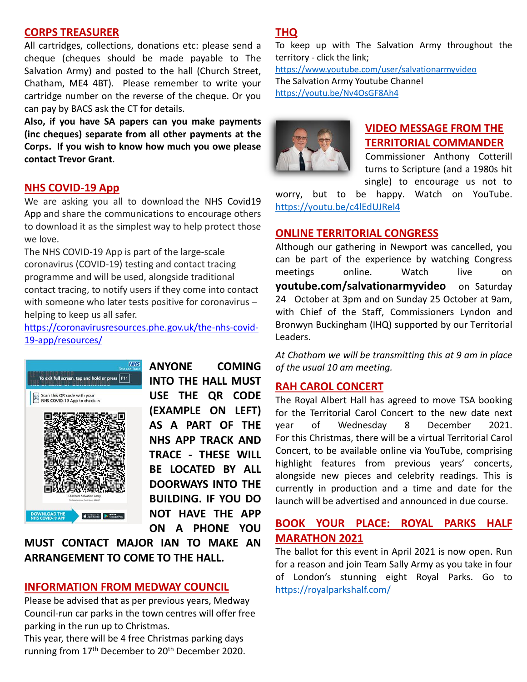## **CORPS TREASURER**

All cartridges, collections, donations etc: please send a cheque (cheques should be made payable to The Salvation Army) and posted to the hall (Church Street, Chatham, ME4 4BT). Please remember to write your cartridge number on the reverse of the cheque. Or you can pay by BACS ask the CT for details.

**Also, if you have SA papers can you make payments (inc cheques) separate from all other payments at the Corps. If you wish to know how much you owe please contact Trevor Grant**.

## **NHS COVID-19 App**

We are asking you all to download the NHS Covid19 [App](https://protect-eu.mimecast.com/s/eh92CElJPs1ExOQCQt76-?domain=content.phepartnerships.co.uk) and share the communications to encourage others to download it as the simplest way to help protect those we love.

The NHS COVID-19 App is part of the large-scale coronavirus (COVID-19) testing and contact tracing programme and will be used, alongside traditional contact tracing, to notify users if they come into contact with someone who later tests positive for coronavirus – helping to keep us all safer.

[https://coronavirusresources.phe.gov.uk/the-nhs-covid-](https://coronavirusresources.phe.gov.uk/the-nhs-covid-19-app/resources/)[19-app/resources/](https://coronavirusresources.phe.gov.uk/the-nhs-covid-19-app/resources/)



**ANYONE COMING INTO THE HALL MUST USE THE QR CODE (EXAMPLE ON LEFT) AS A PART OF THE NHS APP TRACK AND TRACE - THESE WILL BE LOCATED BY ALL DOORWAYS INTO THE BUILDING. IF YOU DO NOT HAVE THE APP ON A PHONE YOU** 

**MUST CONTACT MAJOR IAN TO MAKE AN ARRANGEMENT TO COME TO THE HALL.**

## **INFORMATION FROM MEDWAY COUNCIL**

Please be advised that as per previous years, Medway Council-run car parks in the town centres will offer free parking in the run up to Christmas.

This year, there will be 4 free Christmas parking days running from 17<sup>th</sup> December to 20<sup>th</sup> December 2020.

## **THQ**

To keep up with The Salvation Army throughout the territory - click the link;

<https://www.youtube.com/user/salvationarmyvideo> The Salvation Army Youtube Channel <https://youtu.be/Nv4OsGF8Ah4>



## **VIDEO MESSAGE FROM THE TERRITORIAL COMMANDER**

Commissioner Anthony Cotterill turns to Scripture (and a 1980s hit single) to encourage us not to

worry, but to be happy. Watch on YouTube. <https://youtu.be/c4lEdUJRel4>

## **ONLINE TERRITORIAL CONGRESS**

Although our gathering in Newport was cancelled, you can be part of the experience by watching Congress meetings online. Watch live on **youtube.com/salvationarmyvideo** on Saturday 24 October at 3pm and on Sunday 25 October at 9am, with Chief of the Staff, Commissioners Lyndon and Bronwyn Buckingham (IHQ) supported by our Territorial Leaders.

*At Chatham we will be transmitting this at 9 am in place of the usual 10 am meeting.*

## **RAH CAROL CONCERT**

The Royal Albert Hall has agreed to move TSA booking for the Territorial Carol Concert to the new date next year of Wednesday 8 December 2021. For this Christmas, there will be a virtual Territorial Carol Concert, to be available online via YouTube, comprising highlight features from previous years' concerts, alongside new pieces and celebrity readings. This is currently in production and a time and date for the launch will be advertised and announced in due course.

## **BOOK YOUR PLACE: ROYAL PARKS HALF MARATHON 2021**

The ballot for this event in April 2021 is now open. Run for a reason and join Team Sally Army as you take in four of London's stunning eight Royal Parks. Go to <https://royalparkshalf.com/>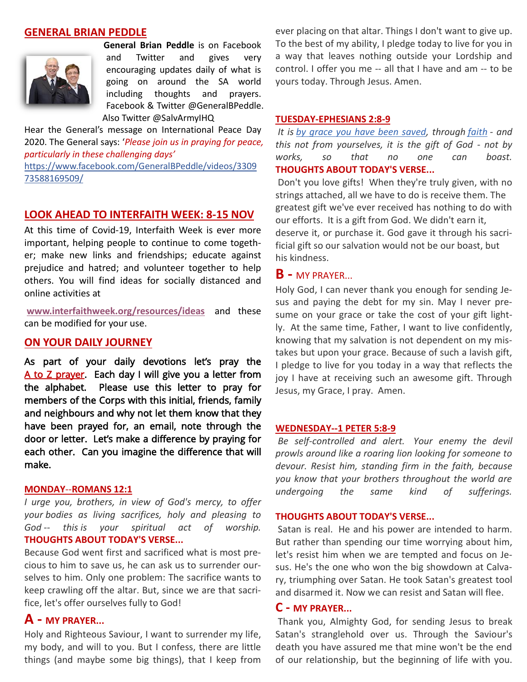## **GENERAL BRIAN PEDDLE**



**General Brian Peddle** is on Facebook and Twitter and gives very encouraging updates daily of what is going on around the SA world including thoughts and prayers. Facebook & Twitter @GeneralBPeddle. Also Twitter @SalvArmyIHQ

Hear the General's message on International Peace Day 2020. The General says: '*Please join us in praying for peace, particularly in these challenging days'* [https://www.facebook.com/GeneralBPeddle/videos/3309](https://www.facebook.com/GeneralBPeddle/videos/330973588169509/) [73588169509/](https://www.facebook.com/GeneralBPeddle/videos/330973588169509/)

#### **LOOK AHEAD TO INTERFAITH WEEK: 8-15 NOV**

At this time of Covid-19, Interfaith Week is ever more important, helping people to continue to come together; make new links and friendships; educate against prejudice and hatred; and volunteer together to help others. You will find ideas for socially distanced and online activities at

**[www.interfaithweek.org/resources/ideas](http://www.interfaithweek.org/resources/ideas)** and these can be modified for your use.

## **ON YOUR DAILY JOURNEY**

As part of your daily devotions let's pray the A to Z prayer. Each day I will give you a letter from the alphabet. Please use this letter to pray for members of the Corps with this initial, friends, family and neighbours and why not let them know that they have been prayed for, an email, note through the door or letter. Let's make a difference by praying for each other. Can you imagine the difference that will make.

#### **MONDAY**--**[ROMANS 12:1](https://www.biblestudytools.com/romans/12-1.html)**

*I urge you, brothers, in view of God's mercy, to offer your bodies as living sacrifices, holy and pleasing to God -- this is your spiritual act of worship.* **THOUGHTS ABOUT TODAY'S VERSE...**

Because God went first and sacrificed what is most precious to him to save us, he can ask us to surrender ourselves to him. Only one problem: The sacrifice wants to keep crawling off the altar. But, since we are that sacrifice, let's offer ourselves fully to God!

## **A - MY PRAYER...**

Holy and Righteous Saviour, I want to surrender my life, my body, and will to you. But I confess, there are little things (and maybe some big things), that I keep from

ever placing on that altar. Things I don't want to give up. To the best of my ability, I pledge today to live for you in a way that leaves nothing outside your Lordship and control. I offer you me -- all that I have and am -- to be yours today. Through Jesus. Amen.

#### **TUESDAY[-EPHESIANS 2:8-9](https://www.biblestudytools.com/ephesians/passage/?q=ephesians+2:8-9)**

*It is [by grace you have been saved,](https://www.crosswalk.com/faith/bible-study/ways-to-live-the-truth-that-by-grace-you-have-been-saved-through-faith.html) through [faith](https://www.crosswalk.com/faith/) - and this not from yourselves, it is the gift of God - not by works, so that no one can boast.* **THOUGHTS ABOUT TODAY'S VERSE...**

Don't you love gifts! When they're truly given, with no strings attached, all we have to do is receive them. The greatest gift we've ever received has nothing to do with our efforts. It is a gift from God. We didn't earn it, deserve it, or purchase it. God gave it through his sacrificial gift so our salvation would not be our boast, but his kindness.

#### **B -** MY PRAYER...

Holy God, I can never thank you enough for sending Jesus and paying the debt for my sin. May I never presume on your grace or take the cost of your gift lightly. At the same time, Father, I want to live confidently, knowing that my salvation is not dependent on my mistakes but upon your grace. Because of such a lavish gift, I pledge to live for you today in a way that reflects the joy I have at receiving such an awesome gift. Through Jesus, my Grace, I pray. Amen.

#### **WEDNESDAY-[-1 PETER 5:8-9](https://www.biblestudytools.com/1-peter/passage/?q=1%20peter+5:8-9)**

*Be self-controlled and alert. Your enemy the devil prowls around like a roaring lion looking for someone to devour. Resist him, standing firm in the faith, because you know that your brothers throughout the world are undergoing the same kind of sufferings.*

#### **THOUGHTS ABOUT TODAY'S VERSE...**

Satan is real. He and his power are intended to harm. But rather than spending our time worrying about him, let's resist him when we are tempted and focus on Jesus. He's the one who won the big showdown at Calvary, triumphing over Satan. He took Satan's greatest tool and disarmed it. Now we can resist and Satan will flee.

### **C - MY PRAYER...**

Thank you, Almighty God, for sending Jesus to break Satan's stranglehold over us. Through the Saviour's death you have assured me that mine won't be the end of our relationship, but the beginning of life with you.